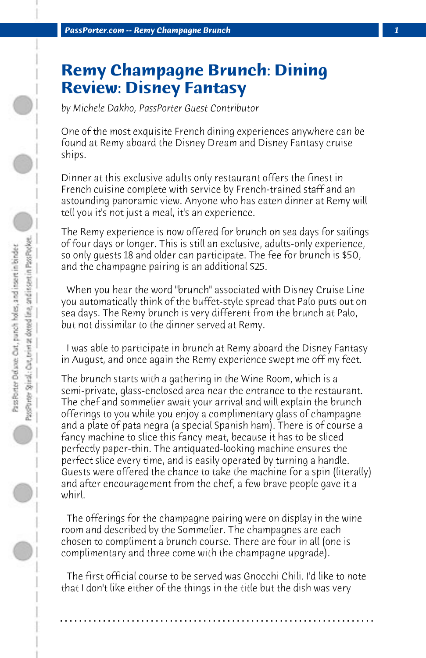## **Remy Champagne Brunch: Dining Review: Disney Fantasy**

*by Michele Dakho, PassPorter Guest Contributor*

One of the most exquisite French dining experiences anywhere can be found at Remy aboard the Disney Dream and Disney Fantasy cruise ships.

Dinner at this exclusive adults only restaurant offers the finest in French cuisine complete with service by French-trained staff and an astounding panoramic view. Anyone who has eaten dinner at Remy will tell you it's not just a meal, it's an experience.

The Remy experience is now offered for brunch on sea days for sailings of four days or longer. This is still an exclusive, adults-only experience, so only guests 18 and older can participate. The fee for brunch is \$50, and the champagne pairing is an additional \$25.

 When you hear the word "brunch" associated with Disney Cruise Line you automatically think of the buffet-style spread that Palo puts out on sea days. The Remy brunch is very different from the brunch at Palo, but not dissimilar to the dinner served at Remy.

 I was able to participate in brunch at Remy aboard the Disney Fantasy in August, and once again the Remy experience swept me off my feet.

The brunch starts with a gathering in the Wine Room, which is a semi-private, glass-enclosed area near the entrance to the restaurant. The chef and sommelier await your arrival and will explain the brunch offerings to you while you enjoy a complimentary glass of champagne and a plate of pata negra (a special Spanish ham). There is of course a fancy machine to slice this fancy meat, because it has to be sliced perfectly paper-thin. The antiquated-looking machine ensures the perfect slice every time, and is easily operated by turning a handle. Guests were offered the chance to take the machine for a spin (literally) and after encouragement from the chef, a few brave people gave it a whirl.

 The offerings for the champagne pairing were on display in the wine room and described by the Sommelier. The champagnes are each chosen to compliment a brunch course. There are four in all (one is complimentary and three come with the champagne upgrade).

 The first official course to be served was Gnocchi Chili. I'd like to note that I don't like either of the things in the title but the dish was very

**. . . . . . . . . . . . . . . . . . . . . . . . . . . . . . . . . . . . . . . . . . . . . . . . . . . . . . . . . . . . . . . . . .**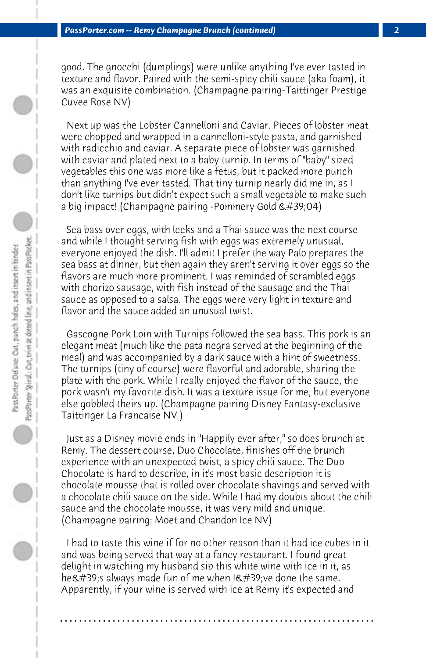good. The gnocchi (dumplings) were unlike anything I've ever tasted in texture and flavor. Paired with the semi-spicy chili sauce (aka foam), it was an exquisite combination. (Champagne pairing-Taittinger Prestige Cuvee Rose NV)

 Next up was the Lobster Cannelloni and Caviar. Pieces of lobster meat were chopped and wrapped in a cannelloni-style pasta, and garnished with radicchio and caviar. A separate piece of lobster was garnished with caviar and plated next to a baby turnip. In terms of "baby" sized vegetables this one was more like a fetus, but it packed more punch than anything I've ever tasted. That tiny turnip nearly did me in, as I don't like turnips but didn't expect such a small vegetable to make such a big impact! (Champagne pairing -Pommery Gold  $\&\#39;04$ )

 Sea bass over eggs, with leeks and a Thai sauce was the next course and while I thought serving fish with eggs was extremely unusual, everyone enjoyed the dish. I'll admit I prefer the way Palo prepares the sea bass at dinner, but then again they aren't serving it over eggs so the flavors are much more prominent. I was reminded of scrambled eggs with chorizo sausage, with fish instead of the sausage and the Thai sauce as opposed to a salsa. The eggs were very light in texture and flavor and the sauce added an unusual twist.

 Gascogne Pork Loin with Turnips followed the sea bass. This pork is an elegant meat (much like the pata negra served at the beginning of the meal) and was accompanied by a dark sauce with a hint of sweetness. The turnips (tiny of course) were flavorful and adorable, sharing the plate with the pork. While I really enjoyed the flavor of the sauce, the pork wasn't my favorite dish. It was a texture issue for me, but everyone else gobbled theirs up. (Champagne pairing Disney Fantasy-exclusive Taittinger La Francaise NV )

 Just as a Disney movie ends in "Happily ever after," so does brunch at Remy. The dessert course, Duo Chocolate, finishes off the brunch experience with an unexpected twist, a spicy chili sauce. The Duo Chocolate is hard to describe, in it's most basic description it is chocolate mousse that is rolled over chocolate shavings and served with a chocolate chili sauce on the side. While I had my doubts about the chili sauce and the chocolate mousse, it was very mild and unique. (Champagne pairing: Moet and Chandon Ice NV)

 I had to taste this wine if for no other reason than it had ice cubes in it and was being served that way at a fancy restaurant. I found great delight in watching my husband sip this white wine with ice in it, as he  $\&$  #39;s always made fun of me when I  $\&$  #39; ve done the same. Apparently, if your wine is served with ice at Remy it's expected and

**. . . . . . . . . . . . . . . . . . . . . . . . . . . . . . . . . . . . . . . . . . . . . . . . . . . . . . . . . . . . . . . . . .**